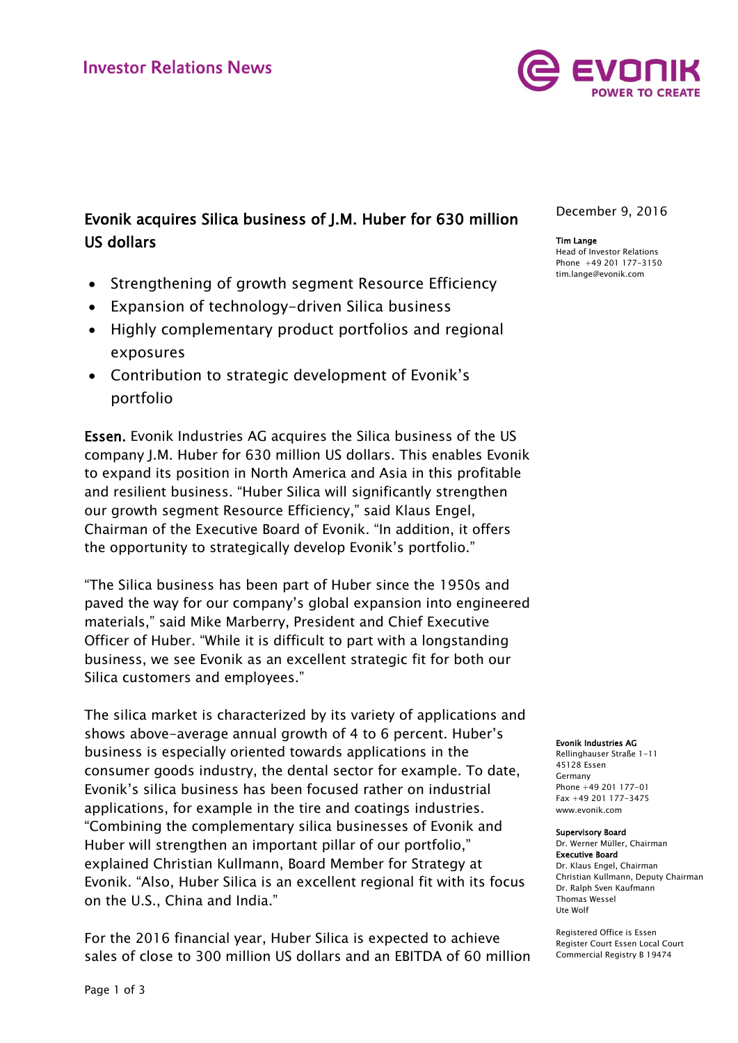

# Evonik acquires Silica business of J.M. Huber for 630 million US dollars

- Strengthening of growth segment Resource Efficiency
- Expansion of technology-driven Silica business
- Highly complementary product portfolios and regional exposures
- Contribution to strategic development of Evonik's portfolio

Essen. Evonik Industries AG acquires the Silica business of the US company J.M. Huber for 630 million US dollars. This enables Evonik to expand its position in North America and Asia in this profitable and resilient business. "Huber Silica will significantly strengthen our growth segment Resource Efficiency," said Klaus Engel, Chairman of the Executive Board of Evonik. "In addition, it offers the opportunity to strategically develop Evonik's portfolio."

"The Silica business has been part of Huber since the 1950s and paved the way for our company's global expansion into engineered materials," said Mike Marberry, President and Chief Executive Officer of Huber. "While it is difficult to part with a longstanding business, we see Evonik as an excellent strategic fit for both our Silica customers and employees."

The silica market is characterized by its variety of applications and shows above-average annual growth of 4 to 6 percent. Huber's business is especially oriented towards applications in the consumer goods industry, the dental sector for example. To date, Evonik's silica business has been focused rather on industrial applications, for example in the tire and coatings industries. "Combining the complementary silica businesses of Evonik and Huber will strengthen an important pillar of our portfolio," explained Christian Kullmann, Board Member for Strategy at Evonik. "Also, Huber Silica is an excellent regional fit with its focus on the U.S., China and India."

For the 2016 financial year, Huber Silica is expected to achieve sales of close to 300 million US dollars and an EBITDA of 60 million December 9, 2016

### Tim Lange

Head of Investor Relations Phone +49 201 177-3150 tim.lange@evonik.com

Evonik Industries AG

Rellinghauser Straße 1-11 45128 Essen Germany Phone +49 201 177-01 Fax +49 201 177-3475 www.evonik.com

#### Supervisory Board

Dr. Werner Müller, Chairman Executive Board Dr. Klaus Engel, Chairman Christian Kullmann, Deputy Chairman Dr. Ralph Sven Kaufmann Thomas Wessel Ute Wolf

Registered Office is Essen Register Court Essen Local Court Commercial Registry B 19474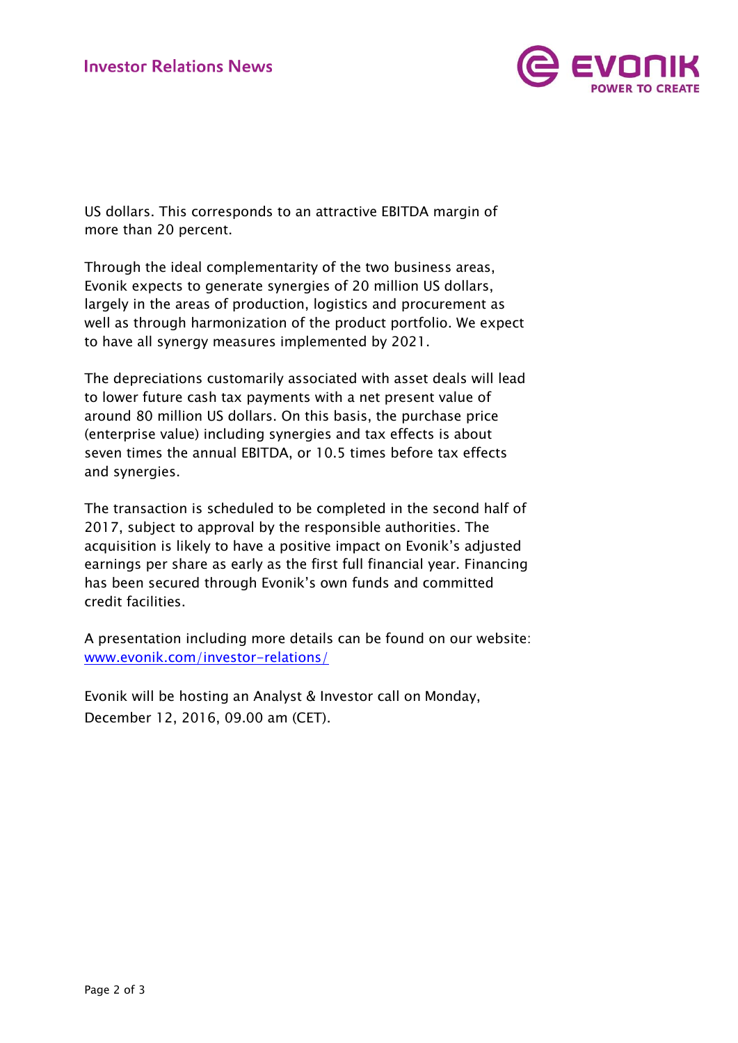

US dollars. This corresponds to an attractive EBITDA margin of more than 20 percent.

Through the ideal complementarity of the two business areas, Evonik expects to generate synergies of 20 million US dollars, largely in the areas of production, logistics and procurement as well as through harmonization of the product portfolio. We expect to have all synergy measures implemented by 2021.

The depreciations customarily associated with asset deals will lead to lower future cash tax payments with a net present value of around 80 million US dollars. On this basis, the purchase price (enterprise value) including synergies and tax effects is about seven times the annual EBITDA, or 10.5 times before tax effects and synergies.

The transaction is scheduled to be completed in the second half of 2017, subject to approval by the responsible authorities. The acquisition is likely to have a positive impact on Evonik's adjusted earnings per share as early as the first full financial year. Financing has been secured through Evonik's own funds and committed credit facilities.

A presentation including more details can be found on our website: [www.evonik.com/investor-relations/](http://www.evonik.com/investor-relations/)

Evonik will be hosting an Analyst & Investor call on Monday, December 12, 2016, 09.00 am (CET).